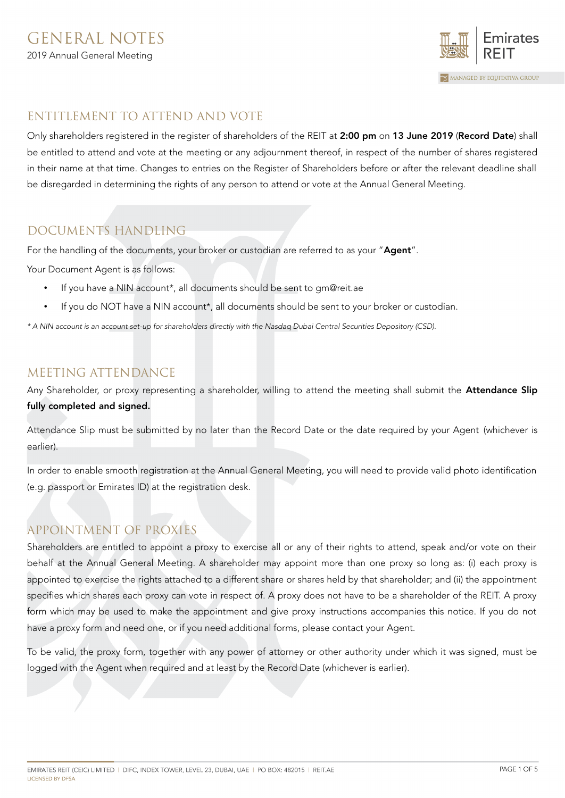

# ENTITLEMENT TO ATTEND AND VOTE

Only shareholders registered in the register of shareholders of the REIT at 2:00 pm on 13 June 2019 (Record Date) shall be entitled to attend and vote at the meeting or any adjournment thereof, in respect of the number of shares registered in their name at that time. Changes to entries on the Register of Shareholders before or after the relevant deadline shall be disregarded in determining the rights of any person to attend or vote at the Annual General Meeting.

# DOCUMENTS HANDLING

For the handling of the documents, your broker or custodian are referred to as your "Agent".

Your Document Agent is as follows:

- If you have a NIN account\*, all documents should be sent to gm@reit.ae
- If you do NOT have a NIN account\*, all documents should be sent to your broker or custodian.

\* A NIN account is an account set-up for shareholders directly with the Nasdaq Dubai Central Securities Depository (CSD).

### MEETING ATTENDANCE

Any Shareholder, or proxy representing a shareholder, willing to attend the meeting shall submit the **Attendance Slip** fully completed and signed.

Attendance Slip must be submitted by no later than the Record Date or the date required by your Agent (whichever is earlier).

In order to enable smooth registration at the Annual General Meeting, you will need to provide valid photo identification (e.g. passport or Emirates ID) at the registration desk.

# APPOINTMENT OF PROXIES

Shareholders are entitled to appoint a proxy to exercise all or any of their rights to attend, speak and/or vote on their behalf at the Annual General Meeting. A shareholder may appoint more than one proxy so long as: (i) each proxy is appointed to exercise the rights attached to a different share or shares held by that shareholder; and (ii) the appointment specifies which shares each proxy can vote in respect of. A proxy does not have to be a shareholder of the REIT. A proxy form which may be used to make the appointment and give proxy instructions accompanies this notice. If you do not have a proxy form and need one, or if you need additional forms, please contact your Agent.

To be valid, the proxy form, together with any power of attorney or other authority under which it was signed, must be logged with the Agent when required and at least by the Record Date (whichever is earlier).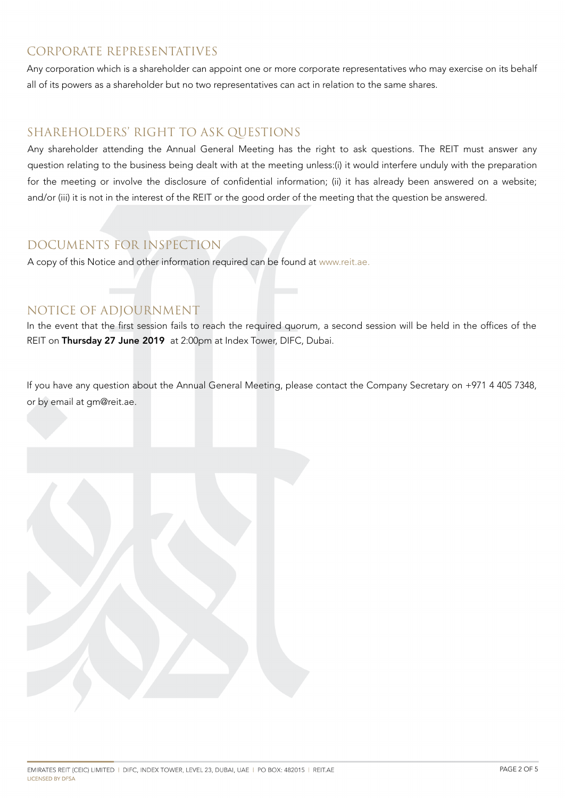# CORPORATE REPRESENTATIVES

Any corporation which is a shareholder can appoint one or more corporate representatives who may exercise on its behalf all of its powers as a shareholder but no two representatives can act in relation to the same shares.

### SHAREHOLDERS' RIGHT TO ASK QUESTIONS

Any shareholder attending the Annual General Meeting has the right to ask questions. The REIT must answer any question relating to the business being dealt with at the meeting unless:(i) it would interfere unduly with the preparation for the meeting or involve the disclosure of confidential information; (ii) it has already been answered on a website; and/or (iii) it is not in the interest of the REIT or the good order of the meeting that the question be answered.

# DOCUMENTS FOR INSPECTION

A copy of this Notice and other information required can be found at [www.reit.ae.](http://www.reit.ae/)

### NOTICE OF ADJOURNMENT

In the event that the first session fails to reach the required quorum, a second session will be held in the offices of the REIT on Thursday 27 June 2019 at 2:00pm at Index Tower, DIFC, Dubai.

If you have any question about the Annual General Meeting, please contact the Company Secretary on +971 4 405 7348, or by email at gm@reit.ae.

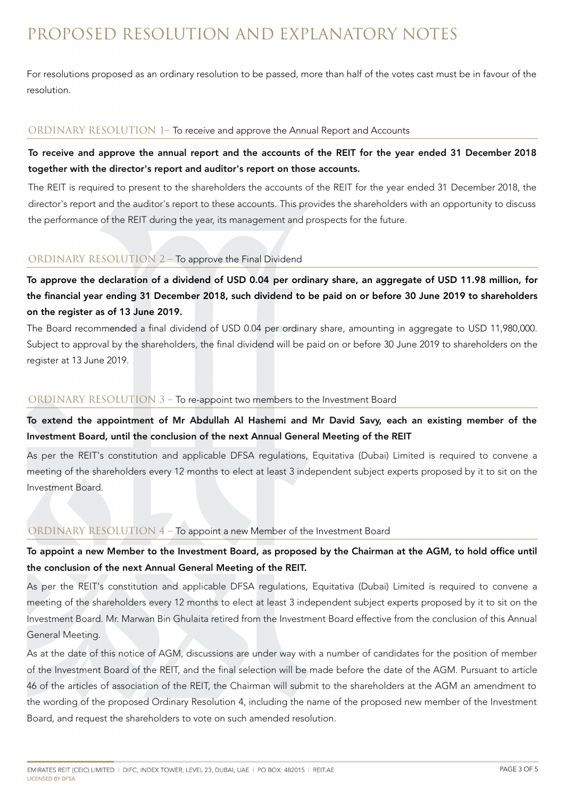# PROPOSED RESOLUTION AND EXPLANATORY NOTES

For resolutions proposed as an ordinary resolution to be passed, more than half of the votes cast must be in favour of the resolution.

#### ORDINARY RESOLUTION 1– To receive and approve the Annual Report and Accounts

### To receive and approve the annual report and the accounts of the REIT for the year ended 31 December 2018 together with the director's report and auditor's report on those accounts.

The REIT is required to present to the shareholders the accounts of the REIT for the year ended 31 December 2018, the director's report and the auditor's report to these accounts. This provides the shareholders with an opportunity to discuss the performance of the REIT during the year, its management and prospects for the future.

#### ORDINARY RESOLUTION 2 – To approve the Final Dividend

To approve the declaration of a dividend of USD 0.04 per ordinary share, an aggregate of USD 11.98 million, for the financial year ending 31 December 2018, such dividend to be paid on or before 30 June 2019 to shareholders on the register as of 13 June 2019.

The Board recommended a final dividend of USD 0.04 per ordinary share, amounting in aggregate to USD 11,980,000. Subject to approval by the shareholders, the final dividend will be paid on or before 30 June 2019 to shareholders on the register at 13 June 2019.

#### ORDINARY RESOLUTION 3 – To re-appoint two members to the Investment Board

To extend the appointment of Mr Abdullah Al Hashemi and Mr David Savy, each an existing member of the Investment Board, until the conclusion of the next Annual General Meeting of the REIT

As per the REIT's constitution and applicable DFSA regulations, Equitativa (Dubai) Limited is required to convene a meeting of the shareholders every 12 months to elect at least 3 independent subject experts proposed by it to sit on the Investment Board.

#### ORDINARY RESOLUTION 4 – To appoint a new Member of the Investment Board

### To appoint a new Member to the Investment Board, as proposed by the Chairman at the AGM, to hold office until the conclusion of the next Annual General Meeting of the REIT.

As per the REIT's constitution and applicable DFSA regulations, Equitativa (Dubai) Limited is required to convene a meeting of the shareholders every 12 months to elect at least 3 independent subject experts proposed by it to sit on the Investment Board. Mr. Marwan Bin Ghulaita retired from the Investment Board effective from the conclusion of this Annual General Meeting.

As at the date of this notice of AGM, discussions are under way with a number of candidates for the position of member of the Investment Board of the REIT, and the final selection will be made before the date of the AGM. Pursuant to article 46 of the articles of association of the REIT, the Chairman will submit to the shareholders at the AGM an amendment to the wording of the proposed Ordinary Resolution 4, including the name of the proposed new member of the Investment Board, and request the shareholders to vote on such amended resolution.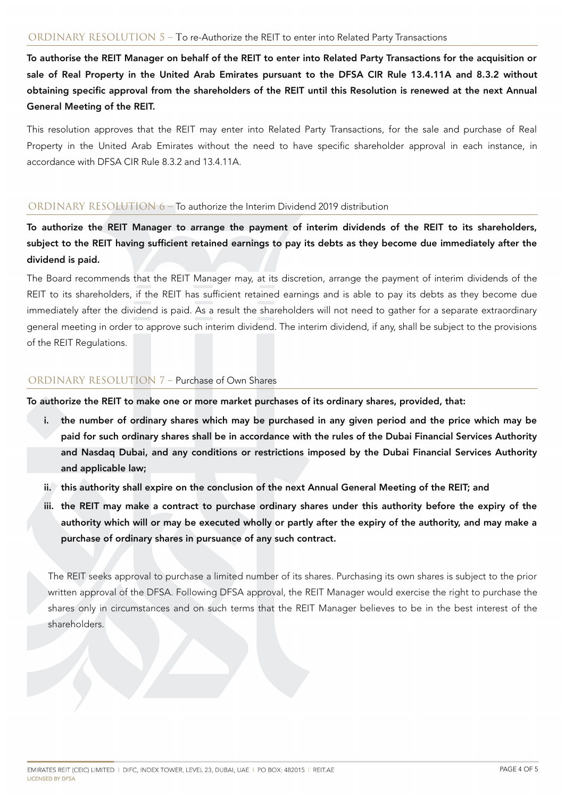To authorise the REIT Manager on behalf of the REIT to enter into Related Party Transactions for the acquisition or sale of Real Property in the United Arab Emirates pursuant to the DFSA CIR Rule 13.4.11A and 8.3.2 without obtaining specific approval from the shareholders of the REIT until this Resolution is renewed at the next Annual General Meeting of the REIT.

This resolution approves that the REIT may enter into Related Party Transactions, for the sale and purchase of Real Property in the United Arab Emirates without the need to have specific shareholder approval in each instance, in accordance with DFSA CIR Rule 8.3.2 and 13.4.11A.

#### ORDINARY RESOLUTION 6 – To authorize the Interim Dividend 2019 distribution

To authorize the REIT Manager to arrange the payment of interim dividends of the REIT to its shareholders, subject to the REIT having sufficient retained earnings to pay its debts as they become due immediately after the dividend is paid.

The Board recommends that the REIT Manager may, at its discretion, arrange the payment of interim dividends of the REIT to its shareholders, if the REIT has sufficient retained earnings and is able to pay its debts as they become due immediately after the dividend is paid. As a result the shareholders will not need to gather for a separate extraordinary general meeting in order to approve such interim dividend. The interim dividend, if any, shall be subject to the provisions of the REIT Regulations.

#### ORDINARY RESOLUTION 7 – Purchase of Own Shares

To authorize the REIT to make one or more market purchases of its ordinary shares, provided, that:

- the number of ordinary shares which may be purchased in any given period and the price which may be paid for such ordinary shares shall be in accordance with the rules of the Dubai Financial Services Authority and Nasdaq Dubai, and any conditions or restrictions imposed by the Dubai Financial Services Authority and applicable law;
- ii. this authority shall expire on the conclusion of the next Annual General Meeting of the REIT; and
- iii. the REIT may make a contract to purchase ordinary shares under this authority before the expiry of the authority which will or may be executed wholly or partly after the expiry of the authority, and may make a purchase of ordinary shares in pursuance of any such contract.

The REIT seeks approval to purchase a limited number of its shares. Purchasing its own shares is subject to the prior written approval of the DFSA. Following DFSA approval, the REIT Manager would exercise the right to purchase the shares only in circumstances and on such terms that the REIT Manager believes to be in the best interest of the shareholders.